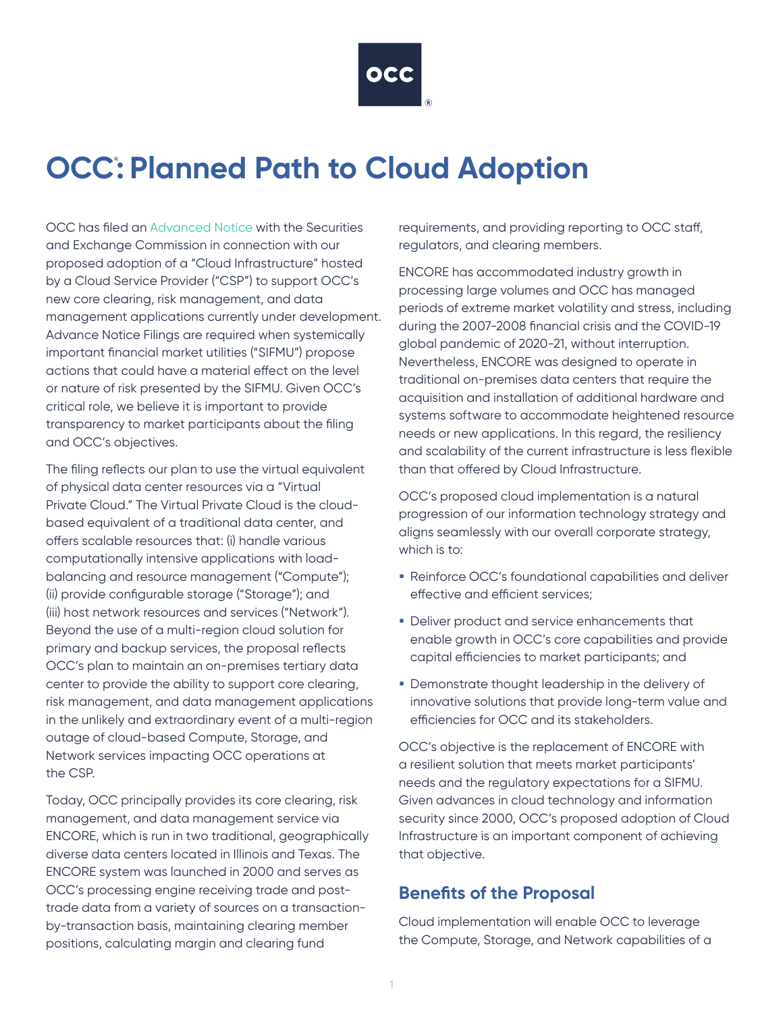

# **OCC: Planned Path to Cloud Adoption**

OCC has filed an [Advanced Notice](https://www.sec.gov/rules/sro/occ/2021/34-93433.pdf) with the Securities and Exchange Commission in connection with our proposed adoption of a "Cloud Infrastructure" hosted by a Cloud Service Provider ("CSP") to support OCC's new core clearing, risk management, and data management applications currently under development. Advance Notice Filings are required when systemically important financial market utilities ("SIFMU") propose actions that could have a material effect on the level or nature of risk presented by the SIFMU. Given OCC's critical role, we believe it is important to provide transparency to market participants about the filing and OCC's objectives.

The filing reflects our plan to use the virtual equivalent of physical data center resources via a "Virtual Private Cloud." The Virtual Private Cloud is the cloudbased equivalent of a traditional data center, and offers scalable resources that: (i) handle various computationally intensive applications with loadbalancing and resource management ("Compute"); (ii) provide configurable storage ("Storage"); and (iii) host network resources and services ("Network"). Beyond the use of a multi-region cloud solution for primary and backup services, the proposal reflects OCC's plan to maintain an on-premises tertiary data center to provide the ability to support core clearing, risk management, and data management applications in the unlikely and extraordinary event of a multi-region outage of cloud-based Compute, Storage, and Network services impacting OCC operations at the CSP.

Today, OCC principally provides its core clearing, risk management, and data management service via ENCORE, which is run in two traditional, geographically diverse data centers located in Illinois and Texas. The ENCORE system was launched in 2000 and serves as OCC's processing engine receiving trade and posttrade data from a variety of sources on a transactionby-transaction basis, maintaining clearing member positions, calculating margin and clearing fund

requirements, and providing reporting to OCC staff, regulators, and clearing members.

ENCORE has accommodated industry growth in processing large volumes and OCC has managed periods of extreme market volatility and stress, including during the 2007-2008 financial crisis and the COVID-19 global pandemic of 2020-21, without interruption. Nevertheless, ENCORE was designed to operate in traditional on-premises data centers that require the acquisition and installation of additional hardware and systems software to accommodate heightened resource needs or new applications. In this regard, the resiliency and scalability of the current infrastructure is less flexible than that offered by Cloud Infrastructure.

OCC's proposed cloud implementation is a natural progression of our information technology strategy and aligns seamlessly with our overall corporate strategy, which is to:

- Reinforce OCC's foundational capabilities and deliver effective and efficient services;
- Deliver product and service enhancements that enable growth in OCC's core capabilities and provide capital efficiencies to market participants; and
- **Demonstrate thought leadership in the delivery of** innovative solutions that provide long-term value and efficiencies for OCC and its stakeholders.

OCC's objective is the replacement of ENCORE with a resilient solution that meets market participants' needs and the regulatory expectations for a SIFMU. Given advances in cloud technology and information security since 2000, OCC's proposed adoption of Cloud Infrastructure is an important component of achieving that objective.

#### **Benefits of the Proposal**

Cloud implementation will enable OCC to leverage the Compute, Storage, and Network capabilities of a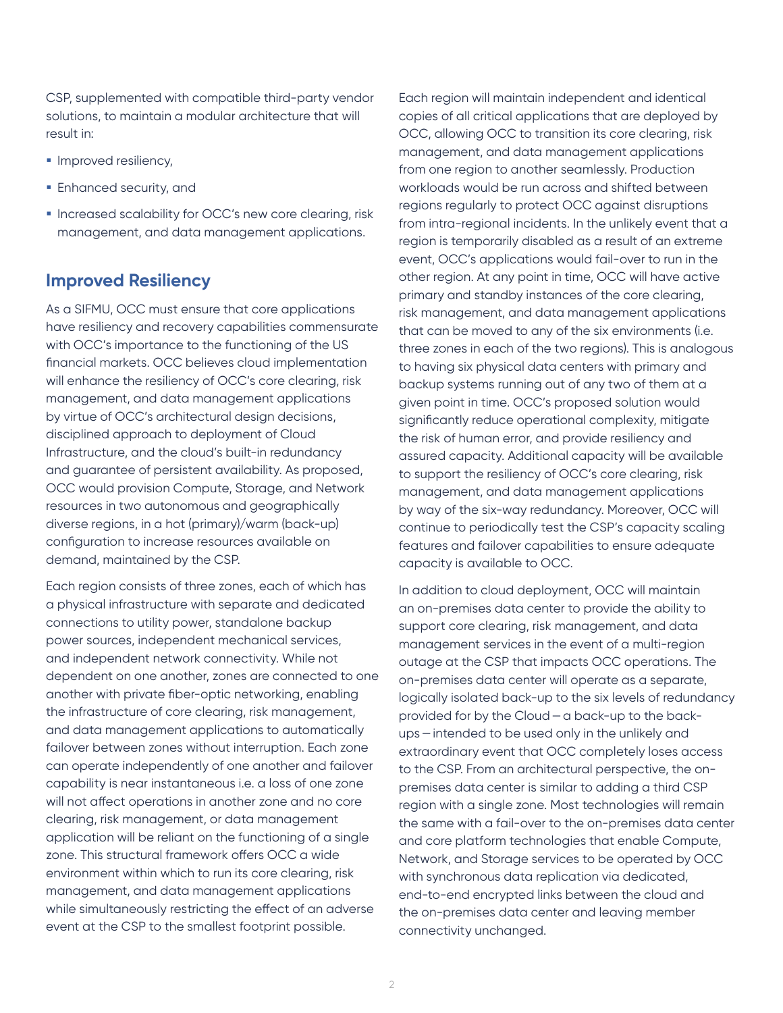CSP, supplemented with compatible third-party vendor solutions, to maintain a modular architecture that will result in:

- **Improved resiliency,**
- **Enhanced security, and**
- **Increased scalability for OCC's new core clearing, risk** management, and data management applications.

#### **Improved Resiliency**

As a SIFMU, OCC must ensure that core applications have resiliency and recovery capabilities commensurate with OCC's importance to the functioning of the US financial markets. OCC believes cloud implementation will enhance the resiliency of OCC's core clearing, risk management, and data management applications by virtue of OCC's architectural design decisions, disciplined approach to deployment of Cloud Infrastructure, and the cloud's built-in redundancy and guarantee of persistent availability. As proposed, OCC would provision Compute, Storage, and Network resources in two autonomous and geographically diverse regions, in a hot (primary)/warm (back-up) configuration to increase resources available on demand, maintained by the CSP.

Each region consists of three zones, each of which has a physical infrastructure with separate and dedicated connections to utility power, standalone backup power sources, independent mechanical services, and independent network connectivity. While not dependent on one another, zones are connected to one another with private fiber-optic networking, enabling the infrastructure of core clearing, risk management, and data management applications to automatically failover between zones without interruption. Each zone can operate independently of one another and failover capability is near instantaneous i.e. a loss of one zone will not affect operations in another zone and no core clearing, risk management, or data management application will be reliant on the functioning of a single zone. This structural framework offers OCC a wide environment within which to run its core clearing, risk management, and data management applications while simultaneously restricting the effect of an adverse event at the CSP to the smallest footprint possible.

Each region will maintain independent and identical copies of all critical applications that are deployed by OCC, allowing OCC to transition its core clearing, risk management, and data management applications from one region to another seamlessly. Production workloads would be run across and shifted between regions regularly to protect OCC against disruptions from intra-regional incidents. In the unlikely event that a region is temporarily disabled as a result of an extreme event, OCC's applications would fail-over to run in the other region. At any point in time, OCC will have active primary and standby instances of the core clearing, risk management, and data management applications that can be moved to any of the six environments (i.e. three zones in each of the two regions). This is analogous to having six physical data centers with primary and backup systems running out of any two of them at a given point in time. OCC's proposed solution would significantly reduce operational complexity, mitigate the risk of human error, and provide resiliency and assured capacity. Additional capacity will be available to support the resiliency of OCC's core clearing, risk management, and data management applications by way of the six-way redundancy. Moreover, OCC will continue to periodically test the CSP's capacity scaling features and failover capabilities to ensure adequate capacity is available to OCC.

In addition to cloud deployment, OCC will maintain an on-premises data center to provide the ability to support core clearing, risk management, and data management services in the event of a multi-region outage at the CSP that impacts OCC operations. The on-premises data center will operate as a separate, logically isolated back-up to the six levels of redundancy provided for by the Cloud—a back-up to the backups—intended to be used only in the unlikely and extraordinary event that OCC completely loses access to the CSP. From an architectural perspective, the onpremises data center is similar to adding a third CSP region with a single zone. Most technologies will remain the same with a fail-over to the on-premises data center and core platform technologies that enable Compute, Network, and Storage services to be operated by OCC with synchronous data replication via dedicated, end-to-end encrypted links between the cloud and the on-premises data center and leaving member connectivity unchanged.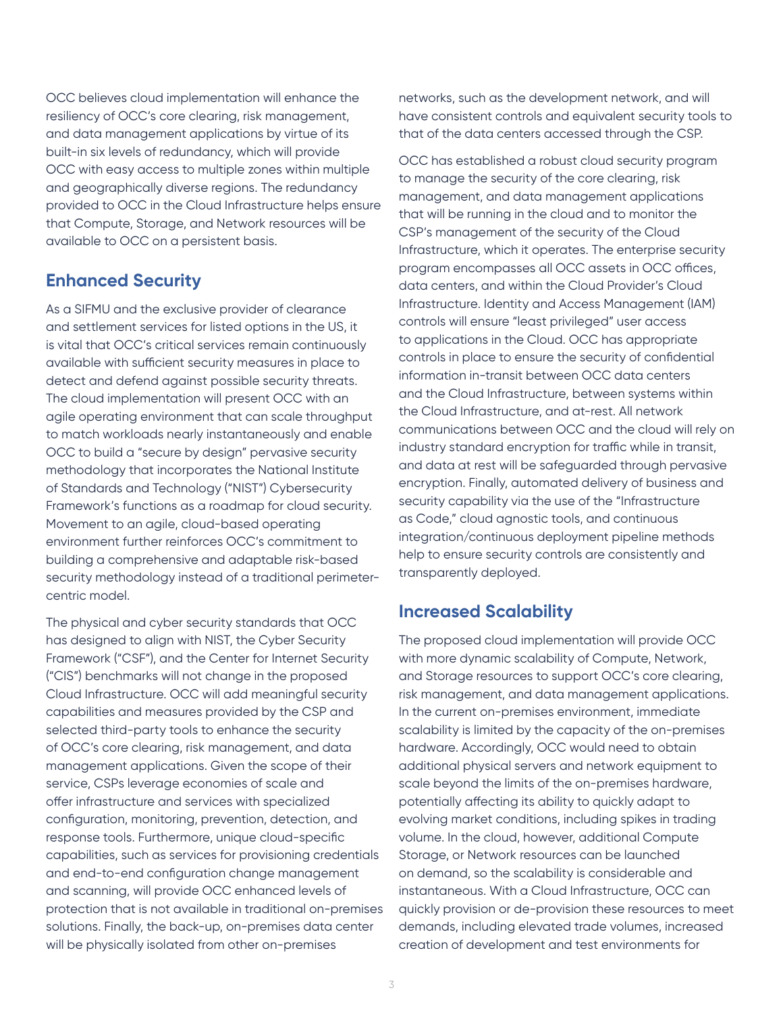OCC believes cloud implementation will enhance the resiliency of OCC's core clearing, risk management, and data management applications by virtue of its built-in six levels of redundancy, which will provide OCC with easy access to multiple zones within multiple and geographically diverse regions. The redundancy provided to OCC in the Cloud Infrastructure helps ensure that Compute, Storage, and Network resources will be available to OCC on a persistent basis.

#### **Enhanced Security**

As a SIFMU and the exclusive provider of clearance and settlement services for listed options in the US, it is vital that OCC's critical services remain continuously available with sufficient security measures in place to detect and defend against possible security threats. The cloud implementation will present OCC with an agile operating environment that can scale throughput to match workloads nearly instantaneously and enable OCC to build a "secure by design" pervasive security methodology that incorporates the National Institute of Standards and Technology ("NIST") Cybersecurity Framework's functions as a roadmap for cloud security. Movement to an agile, cloud-based operating environment further reinforces OCC's commitment to building a comprehensive and adaptable risk-based security methodology instead of a traditional perimetercentric model.

The physical and cyber security standards that OCC has designed to align with NIST, the Cyber Security Framework ("CSF"), and the Center for Internet Security ("CIS") benchmarks will not change in the proposed Cloud Infrastructure. OCC will add meaningful security capabilities and measures provided by the CSP and selected third-party tools to enhance the security of OCC's core clearing, risk management, and data management applications. Given the scope of their service, CSPs leverage economies of scale and offer infrastructure and services with specialized configuration, monitoring, prevention, detection, and response tools. Furthermore, unique cloud-specific capabilities, such as services for provisioning credentials and end-to-end configuration change management and scanning, will provide OCC enhanced levels of protection that is not available in traditional on-premises solutions. Finally, the back-up, on-premises data center will be physically isolated from other on-premises

networks, such as the development network, and will have consistent controls and equivalent security tools to that of the data centers accessed through the CSP.

OCC has established a robust cloud security program to manage the security of the core clearing, risk management, and data management applications that will be running in the cloud and to monitor the CSP's management of the security of the Cloud Infrastructure, which it operates. The enterprise security program encompasses all OCC assets in OCC offices, data centers, and within the Cloud Provider's Cloud Infrastructure. Identity and Access Management (IAM) controls will ensure "least privileged" user access to applications in the Cloud. OCC has appropriate controls in place to ensure the security of confidential information in-transit between OCC data centers and the Cloud Infrastructure, between systems within the Cloud Infrastructure, and at-rest. All network communications between OCC and the cloud will rely on industry standard encryption for traffic while in transit, and data at rest will be safeguarded through pervasive encryption. Finally, automated delivery of business and security capability via the use of the "Infrastructure as Code," cloud agnostic tools, and continuous integration/continuous deployment pipeline methods help to ensure security controls are consistently and transparently deployed.

## **Increased Scalability**

The proposed cloud implementation will provide OCC with more dynamic scalability of Compute, Network, and Storage resources to support OCC's core clearing, risk management, and data management applications. In the current on-premises environment, immediate scalability is limited by the capacity of the on-premises hardware. Accordingly, OCC would need to obtain additional physical servers and network equipment to scale beyond the limits of the on-premises hardware, potentially affecting its ability to quickly adapt to evolving market conditions, including spikes in trading volume. In the cloud, however, additional Compute Storage, or Network resources can be launched on demand, so the scalability is considerable and instantaneous. With a Cloud Infrastructure, OCC can quickly provision or de-provision these resources to meet demands, including elevated trade volumes, increased creation of development and test environments for